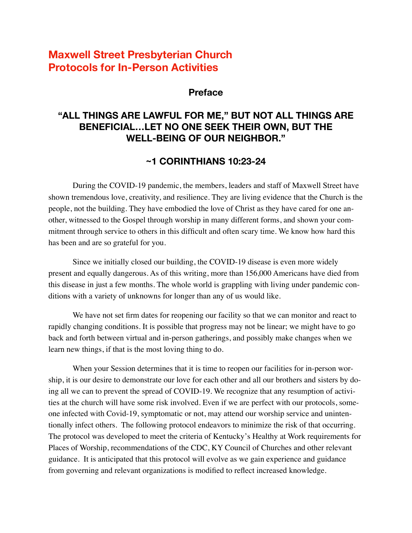# **Maxwell Street Presbyterian Church Protocols for In-Person Activities**

### **Preface**

## **"ALL THINGS ARE LAWFUL FOR ME," BUT NOT ALL THINGS ARE BENEFICIAL…LET NO ONE SEEK THEIR OWN, BUT THE WELL-BEING OF OUR NEIGHBOR."**

## **~1 CORINTHIANS 10:23-24**

During the COVID-19 pandemic, the members, leaders and staff of Maxwell Street have shown tremendous love, creativity, and resilience. They are living evidence that the Church is the people, not the building. They have embodied the love of Christ as they have cared for one another, witnessed to the Gospel through worship in many different forms, and shown your commitment through service to others in this difficult and often scary time. We know how hard this has been and are so grateful for you.

Since we initially closed our building, the COVID-19 disease is even more widely present and equally dangerous. As of this writing, more than 156,000 Americans have died from this disease in just a few months. The whole world is grappling with living under pandemic conditions with a variety of unknowns for longer than any of us would like.

We have not set firm dates for reopening our facility so that we can monitor and react to rapidly changing conditions. It is possible that progress may not be linear; we might have to go back and forth between virtual and in-person gatherings, and possibly make changes when we learn new things, if that is the most loving thing to do.

When your Session determines that it is time to reopen our facilities for in-person worship, it is our desire to demonstrate our love for each other and all our brothers and sisters by doing all we can to prevent the spread of COVID-19. We recognize that any resumption of activities at the church will have some risk involved. Even if we are perfect with our protocols, someone infected with Covid-19, symptomatic or not, may attend our worship service and unintentionally infect others. The following protocol endeavors to minimize the risk of that occurring. The protocol was developed to meet the criteria of Kentucky's Healthy at Work requirements for Places of Worship, recommendations of the CDC, KY Council of Churches and other relevant guidance. It is anticipated that this protocol will evolve as we gain experience and guidance from governing and relevant organizations is modified to reflect increased knowledge.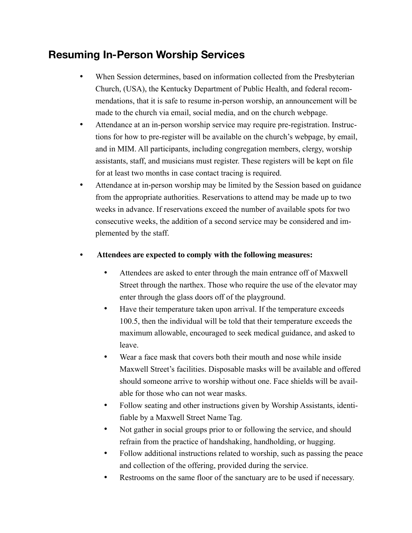# **Resuming In-Person Worship Services**

- When Session determines, based on information collected from the Presbyterian Church, (USA), the Kentucky Department of Public Health, and federal recommendations, that it is safe to resume in-person worship, an announcement will be made to the church via email, social media, and on the church webpage.
- Attendance at an in-person worship service may require pre-registration. Instructions for how to pre-register will be available on the church's webpage, by email, and in MIM. All participants, including congregation members, clergy, worship assistants, staff, and musicians must register. These registers will be kept on file for at least two months in case contact tracing is required.
- Attendance at in-person worship may be limited by the Session based on guidance from the appropriate authorities. Reservations to attend may be made up to two weeks in advance. If reservations exceed the number of available spots for two consecutive weeks, the addition of a second service may be considered and implemented by the staff.
- **Attendees are expected to comply with the following measures:**
	- Attendees are asked to enter through the main entrance off of Maxwell Street through the narthex. Those who require the use of the elevator may enter through the glass doors off of the playground.
	- Have their temperature taken upon arrival. If the temperature exceeds 100.5, then the individual will be told that their temperature exceeds the maximum allowable, encouraged to seek medical guidance, and asked to leave.
	- Wear a face mask that covers both their mouth and nose while inside Maxwell Street's facilities. Disposable masks will be available and offered should someone arrive to worship without one. Face shields will be available for those who can not wear masks.
	- Follow seating and other instructions given by Worship Assistants, identifiable by a Maxwell Street Name Tag.
	- Not gather in social groups prior to or following the service, and should refrain from the practice of handshaking, handholding, or hugging.
	- Follow additional instructions related to worship, such as passing the peace and collection of the offering, provided during the service.
	- Restrooms on the same floor of the sanctuary are to be used if necessary.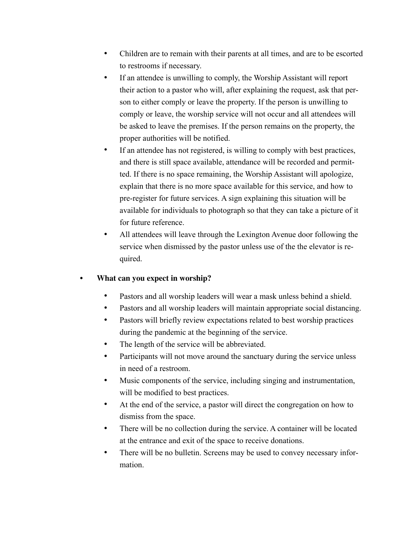- Children are to remain with their parents at all times, and are to be escorted to restrooms if necessary.
- If an attendee is unwilling to comply, the Worship Assistant will report their action to a pastor who will, after explaining the request, ask that person to either comply or leave the property. If the person is unwilling to comply or leave, the worship service will not occur and all attendees will be asked to leave the premises. If the person remains on the property, the proper authorities will be notified.
- If an attendee has not registered, is willing to comply with best practices, and there is still space available, attendance will be recorded and permitted. If there is no space remaining, the Worship Assistant will apologize, explain that there is no more space available for this service, and how to pre-register for future services. A sign explaining this situation will be available for individuals to photograph so that they can take a picture of it for future reference.
- All attendees will leave through the Lexington Avenue door following the service when dismissed by the pastor unless use of the the elevator is required.

### • **What can you expect in worship?**

- Pastors and all worship leaders will wear a mask unless behind a shield.
- Pastors and all worship leaders will maintain appropriate social distancing.
- Pastors will briefly review expectations related to best worship practices during the pandemic at the beginning of the service.
- The length of the service will be abbreviated.
- Participants will not move around the sanctuary during the service unless in need of a restroom.
- Music components of the service, including singing and instrumentation, will be modified to best practices.
- At the end of the service, a pastor will direct the congregation on how to dismiss from the space.
- There will be no collection during the service. A container will be located at the entrance and exit of the space to receive donations.
- There will be no bulletin. Screens may be used to convey necessary information.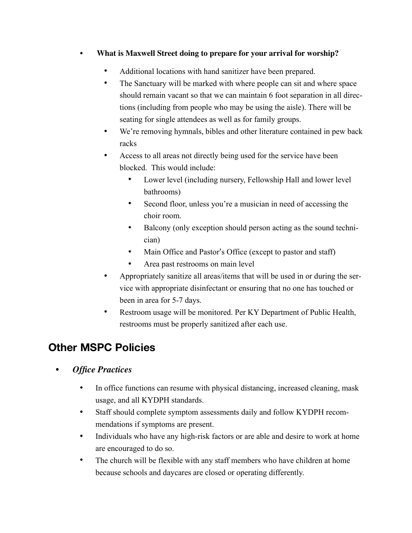## • **What is Maxwell Street doing to prepare for your arrival for worship?**

- Additional locations with hand sanitizer have been prepared.
- The Sanctuary will be marked with where people can sit and where space should remain vacant so that we can maintain 6 foot separation in all directions (including from people who may be using the aisle). There will be seating for single attendees as well as for family groups.
- We're removing hymnals, bibles and other literature contained in pew back racks
- Access to all areas not directly being used for the service have been blocked. This would include:
	- Lower level (including nursery, Fellowship Hall and lower level bathrooms)
	- Second floor, unless you're a musician in need of accessing the choir room.
	- Balcony (only exception should person acting as the sound technician)
	- Main Office and Pastor's Office (except to pastor and staff)
	- Area past restrooms on main level
- Appropriately sanitize all areas/items that will be used in or during the service with appropriate disinfectant or ensuring that no one has touched or been in area for 5-7 days.
- Restroom usage will be monitored. Per KY Department of Public Health, restrooms must be properly sanitized after each use.

# **Other MSPC Policies**

- *Office Practices* 
	- In office functions can resume with physical distancing, increased cleaning, mask usage, and all KYDPH standards.
	- Staff should complete symptom assessments daily and follow KYDPH recommendations if symptoms are present.
	- Individuals who have any high-risk factors or are able and desire to work at home are encouraged to do so.
	- The church will be flexible with any staff members who have children at home because schools and daycares are closed or operating differently.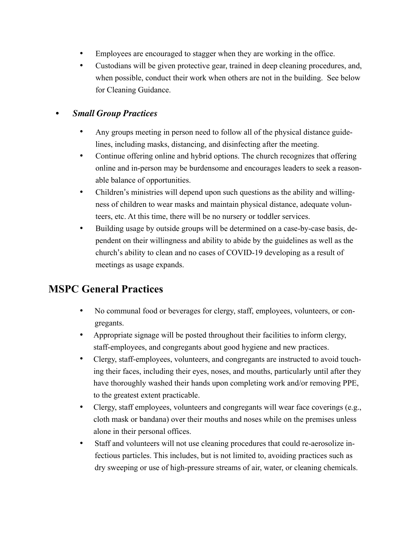- Employees are encouraged to stagger when they are working in the office.
- Custodians will be given protective gear, trained in deep cleaning procedures, and, when possible, conduct their work when others are not in the building. See below for Cleaning Guidance.

## • *Small Group Practices*

- Any groups meeting in person need to follow all of the physical distance guidelines, including masks, distancing, and disinfecting after the meeting.
- Continue offering online and hybrid options. The church recognizes that offering online and in-person may be burdensome and encourages leaders to seek a reasonable balance of opportunities.
- Children's ministries will depend upon such questions as the ability and willingness of children to wear masks and maintain physical distance, adequate volunteers, etc. At this time, there will be no nursery or toddler services.
- Building usage by outside groups will be determined on a case-by-case basis, dependent on their willingness and ability to abide by the guidelines as well as the church's ability to clean and no cases of COVID-19 developing as a result of meetings as usage expands.

# **MSPC General Practices**

- No communal food or beverages for clergy, staff, employees, volunteers, or congregants.
- Appropriate signage will be posted throughout their facilities to inform clergy, staff-employees, and congregants about good hygiene and new practices.
- Clergy, staff-employees, volunteers, and congregants are instructed to avoid touching their faces, including their eyes, noses, and mouths, particularly until after they have thoroughly washed their hands upon completing work and/or removing PPE, to the greatest extent practicable.
- Clergy, staff employees, volunteers and congregants will wear face coverings (e.g., cloth mask or bandana) over their mouths and noses while on the premises unless alone in their personal offices.
- Staff and volunteers will not use cleaning procedures that could re-aerosolize infectious particles. This includes, but is not limited to, avoiding practices such as dry sweeping or use of high-pressure streams of air, water, or cleaning chemicals.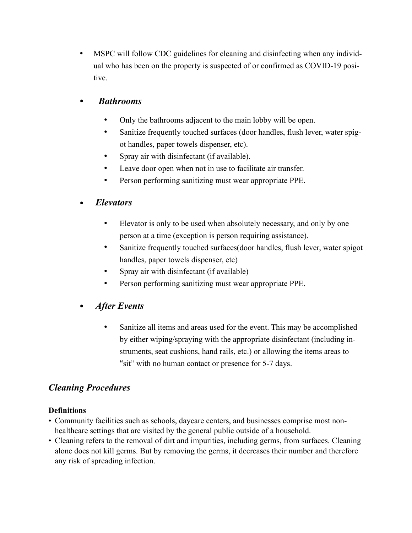• MSPC will follow CDC guidelines for cleaning and disinfecting when any individual who has been on the property is suspected of or confirmed as COVID-19 positive.

## • *Bathrooms*

- Only the bathrooms adjacent to the main lobby will be open.
- Sanitize frequently touched surfaces (door handles, flush lever, water spigot handles, paper towels dispenser, etc).
- Spray air with disinfectant (if available).
- Leave door open when not in use to facilitate air transfer.
- Person performing sanitizing must wear appropriate PPE.

### • *Elevators*

- Elevator is only to be used when absolutely necessary, and only by one person at a time (exception is person requiring assistance).
- Sanitize frequently touched surfaces (door handles, flush lever, water spigot handles, paper towels dispenser, etc)
- Spray air with disinfectant (if available)
- Person performing sanitizing must wear appropriate PPE.

## • *After Events*

Sanitize all items and areas used for the event. This may be accomplished by either wiping/spraying with the appropriate disinfectant (including instruments, seat cushions, hand rails, etc.) or allowing the items areas to "sit" with no human contact or presence for 5-7 days.

## *Cleaning Procedures*

#### **Definitions**

- Community facilities such as schools, daycare centers, and businesses comprise most nonhealthcare settings that are visited by the general public outside of a household.
- Cleaning refers to the removal of dirt and impurities, including germs, from surfaces. Cleaning alone does not kill germs. But by removing the germs, it decreases their number and therefore any risk of spreading infection.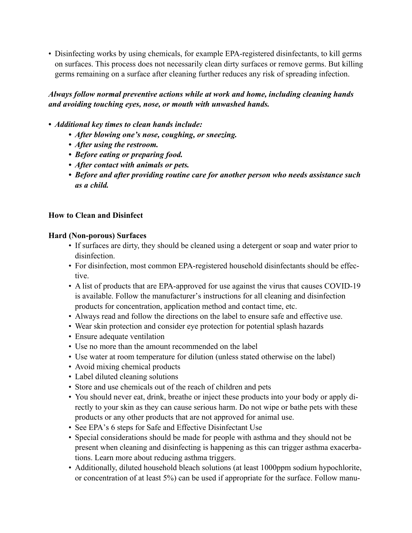• Disinfecting works by using chemicals, for example EPA-registered disinfectants, to kill germs on surfaces. This process does not necessarily clean dirty surfaces or remove germs. But killing germs remaining on a surface after cleaning further reduces any risk of spreading infection.

### *Always follow normal preventive actions while at work and home, including cleaning hands and avoiding touching eyes, nose, or mouth with unwashed hands.*

#### *• Additional key times to clean hands include:*

- *• After blowing one's nose, coughing, or sneezing.*
- *• After using the restroom.*
- *• Before eating or preparing food.*
- *• After contact with animals or pets.*
- *• Before and after providing routine care for another person who needs assistance such as a child.*

#### **How to Clean and Disinfect**

#### **Hard (Non-porous) Surfaces**

- If surfaces are dirty, they should be cleaned using a detergent or soap and water prior to disinfection.
- For disinfection, most common EPA-registered household disinfectants should be effective.
- A list of products that are EPA-approved for use against the virus that causes COVID-19 is available. Follow the manufacturer's instructions for all cleaning and disinfection products for concentration, application method and contact time, etc.
- Always read and follow the directions on the label to ensure safe and effective use.
- Wear skin protection and consider eye protection for potential splash hazards
- Ensure adequate ventilation
- Use no more than the amount recommended on the label
- Use water at room temperature for dilution (unless stated otherwise on the label)
- Avoid mixing chemical products
- Label diluted cleaning solutions
- Store and use chemicals out of the reach of children and pets
- You should never eat, drink, breathe or inject these products into your body or apply directly to your skin as they can cause serious harm. Do not wipe or bathe pets with these products or any other products that are not approved for animal use.
- See EPA's 6 steps for Safe and Effective Disinfectant Use
- Special considerations should be made for people with asthma and they should not be present when cleaning and disinfecting is happening as this can trigger asthma exacerbations. Learn more about reducing asthma triggers.
- Additionally, diluted household bleach solutions (at least 1000ppm sodium hypochlorite, or concentration of at least 5%) can be used if appropriate for the surface. Follow manu-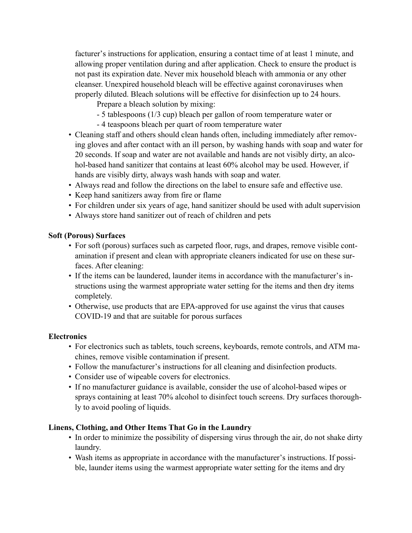facturer's instructions for application, ensuring a contact time of at least 1 minute, and allowing proper ventilation during and after application. Check to ensure the product is not past its expiration date. Never mix household bleach with ammonia or any other cleanser. Unexpired household bleach will be effective against coronaviruses when properly diluted. Bleach solutions will be effective for disinfection up to 24 hours.

Prepare a bleach solution by mixing:

- 5 tablespoons (1/3 cup) bleach per gallon of room temperature water or
- 4 teaspoons bleach per quart of room temperature water
- Cleaning staff and others should clean hands often, including immediately after removing gloves and after contact with an ill person, by washing hands with soap and water for 20 seconds. If soap and water are not available and hands are not visibly dirty, an alcohol-based hand sanitizer that contains at least 60% alcohol may be used. However, if hands are visibly dirty, always wash hands with soap and water.
- Always read and follow the directions on the label to ensure safe and effective use.
- Keep hand sanitizers away from fire or flame
- For children under six years of age, hand sanitizer should be used with adult supervision
- Always store hand sanitizer out of reach of children and pets

#### **Soft (Porous) Surfaces**

- For soft (porous) surfaces such as carpeted floor, rugs, and drapes, remove visible contamination if present and clean with appropriate cleaners indicated for use on these surfaces. After cleaning:
- If the items can be laundered, launder items in accordance with the manufacturer's instructions using the warmest appropriate water setting for the items and then dry items completely.
- Otherwise, use products that are EPA-approved for use against the virus that causes COVID-19 and that are suitable for porous surfaces

#### **Electronics**

- For electronics such as tablets, touch screens, keyboards, remote controls, and ATM machines, remove visible contamination if present.
- Follow the manufacturer's instructions for all cleaning and disinfection products.
- Consider use of wipeable covers for electronics.
- If no manufacturer guidance is available, consider the use of alcohol-based wipes or sprays containing at least 70% alcohol to disinfect touch screens. Dry surfaces thoroughly to avoid pooling of liquids.

#### **Linens, Clothing, and Other Items That Go in the Laundry**

- In order to minimize the possibility of dispersing virus through the air, do not shake dirty laundry.
- Wash items as appropriate in accordance with the manufacturer's instructions. If possible, launder items using the warmest appropriate water setting for the items and dry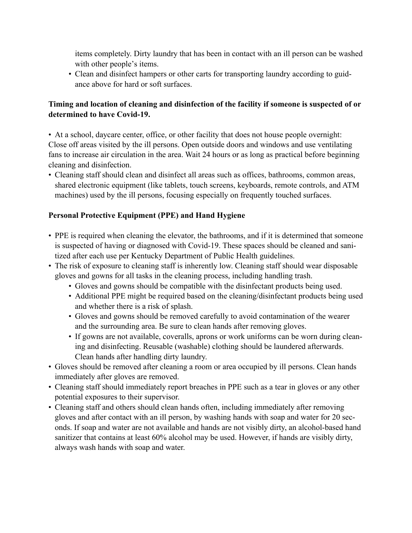items completely. Dirty laundry that has been in contact with an ill person can be washed with other people's items.

• Clean and disinfect hampers or other carts for transporting laundry according to guidance above for hard or soft surfaces.

#### **Timing and location of cleaning and disinfection of the facility if someone is suspected of or determined to have Covid-19.**

• At a school, daycare center, office, or other facility that does not house people overnight: Close off areas visited by the ill persons. Open outside doors and windows and use ventilating fans to increase air circulation in the area. Wait 24 hours or as long as practical before beginning cleaning and disinfection.

• Cleaning staff should clean and disinfect all areas such as offices, bathrooms, common areas, shared electronic equipment (like tablets, touch screens, keyboards, remote controls, and ATM machines) used by the ill persons, focusing especially on frequently touched surfaces.

#### **Personal Protective Equipment (PPE) and Hand Hygiene**

- PPE is required when cleaning the elevator, the bathrooms, and if it is determined that someone is suspected of having or diagnosed with Covid-19. These spaces should be cleaned and sanitized after each use per Kentucky Department of Public Health guidelines.
- The risk of exposure to cleaning staff is inherently low. Cleaning staff should wear disposable gloves and gowns for all tasks in the cleaning process, including handling trash.
	- Gloves and gowns should be compatible with the disinfectant products being used.
	- Additional PPE might be required based on the cleaning/disinfectant products being used and whether there is a risk of splash.
	- Gloves and gowns should be removed carefully to avoid contamination of the wearer and the surrounding area. Be sure to clean hands after removing gloves.
	- If gowns are not available, coveralls, aprons or work uniforms can be worn during cleaning and disinfecting. Reusable (washable) clothing should be laundered afterwards. Clean hands after handling dirty laundry.
- Gloves should be removed after cleaning a room or area occupied by ill persons. Clean hands immediately after gloves are removed.
- Cleaning staff should immediately report breaches in PPE such as a tear in gloves or any other potential exposures to their supervisor.
- Cleaning staff and others should clean hands often, including immediately after removing gloves and after contact with an ill person, by washing hands with soap and water for 20 seconds. If soap and water are not available and hands are not visibly dirty, an alcohol-based hand sanitizer that contains at least 60% alcohol may be used. However, if hands are visibly dirty, always wash hands with soap and water.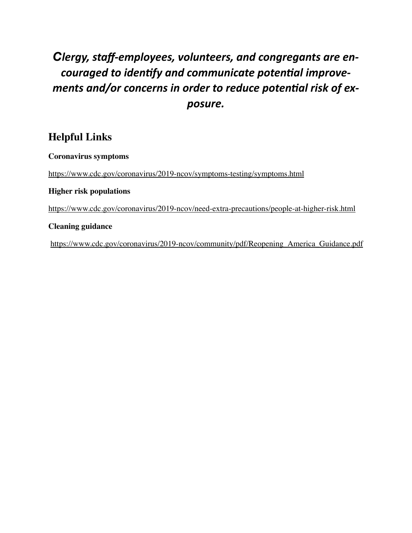# *Clergy, staff-employees, volunteers, and congregants are encouraged to identify and communicate potential improve*ments and/or concerns in order to reduce potential risk of ex*posure.*

# **Helpful Links**

**Coronavirus symptoms** 

<https://www.cdc.gov/coronavirus/2019-ncov/symptoms-testing/symptoms.html>

#### **Higher risk populations**

<https://www.cdc.gov/coronavirus/2019-ncov/need-extra-precautions/people-at-higher-risk.html>

#### **Cleaning guidance**

[https://www.cdc.gov/coronavirus/2019-ncov/community/pdf/Reopening\\_America\\_Guidance.pdf](https://www.cdc.gov/coronavirus/2019-ncov/community/pdf/Reopening_America_Guidance.pdf)